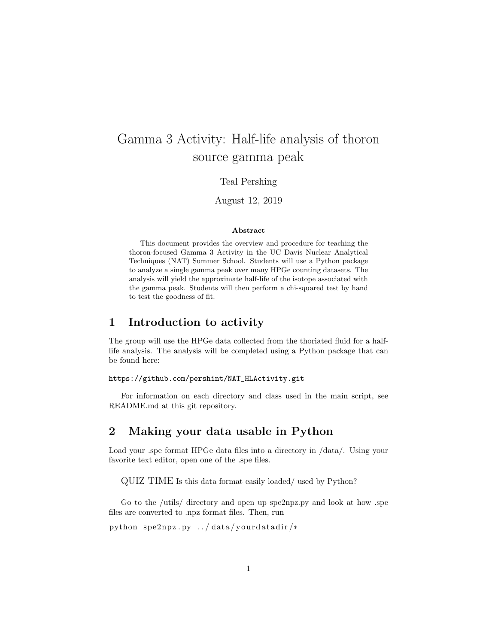# Gamma 3 Activity: Half-life analysis of thoron source gamma peak

### Teal Pershing

August 12, 2019

#### Abstract

This document provides the overview and procedure for teaching the thoron-focused Gamma 3 Activity in the UC Davis Nuclear Analytical Techniques (NAT) Summer School. Students will use a Python package to analyze a single gamma peak over many HPGe counting datasets. The analysis will yield the approximate half-life of the isotope associated with the gamma peak. Students will then perform a chi-squared test by hand to test the goodness of fit.

## 1 Introduction to activity

The group will use the HPGe data collected from the thoriated fluid for a halflife analysis. The analysis will be completed using a Python package that can be found here:

#### https://github.com/pershint/NAT\_HLActivity.git

For information on each directory and class used in the main script, see README.md at this git repository.

## 2 Making your data usable in Python

Load your .spe format HPGe data files into a directory in /data/. Using your favorite text editor, open one of the .spe files.

QUIZ TIME Is this data format easily loaded/ used by Python?

Go to the /utils/ directory and open up spe2npz.py and look at how .spe files are converted to .npz format files. Then, run

```
python spe2npz.py../data/yourdatadir/*
```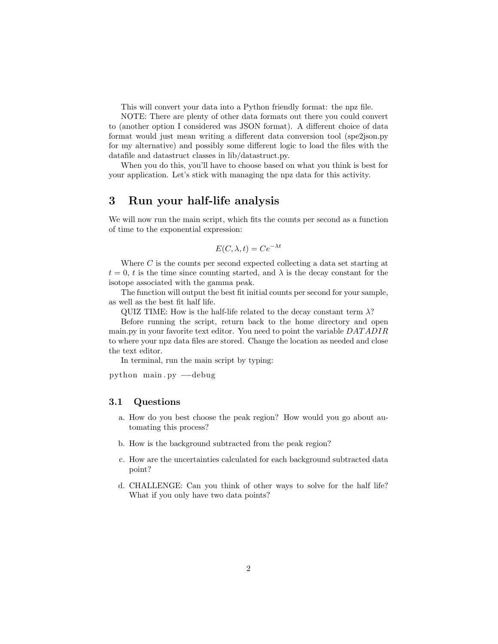This will convert your data into a Python friendly format: the npz file.

NOTE: There are plenty of other data formats out there you could convert to (another option I considered was JSON format). A different choice of data format would just mean writing a different data conversion tool (spe2json.py for my alternative) and possibly some different logic to load the files with the datafile and datastruct classes in lib/datastruct.py.

When you do this, you'll have to choose based on what you think is best for your application. Let's stick with managing the npz data for this activity.

## 3 Run your half-life analysis

We will now run the main script, which fits the counts per second as a function of time to the exponential expression:

$$
E(C, \lambda, t) = Ce^{-\lambda t}
$$

Where  $C$  is the counts per second expected collecting a data set starting at  $t = 0, t$  is the time since counting started, and  $\lambda$  is the decay constant for the isotope associated with the gamma peak.

The function will output the best fit initial counts per second for your sample, as well as the best fit half life.

QUIZ TIME: How is the half-life related to the decay constant term  $\lambda$ ?

Before running the script, return back to the home directory and open main.py in your favorite text editor. You need to point the variable DAT ADIR to where your npz data files are stored. Change the location as needed and close the text editor.

In terminal, run the main script by typing:

python main . py —−debug

### 3.1 Questions

- a. How do you best choose the peak region? How would you go about automating this process?
- b. How is the background subtracted from the peak region?
- c. How are the uncertainties calculated for each background subtracted data point?
- d. CHALLENGE: Can you think of other ways to solve for the half life? What if you only have two data points?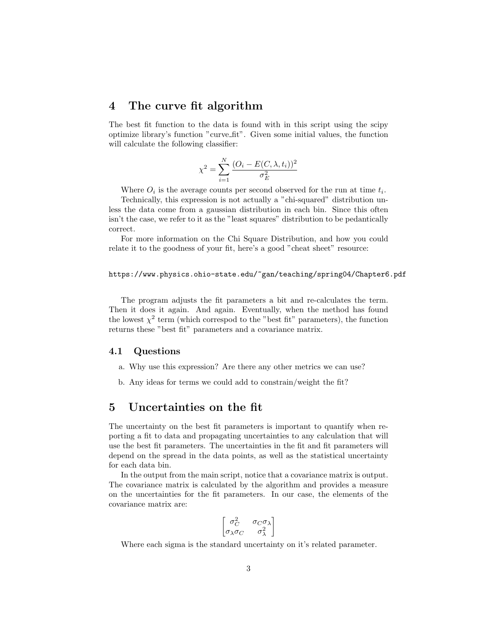## 4 The curve fit algorithm

The best fit function to the data is found with in this script using the scipy optimize library's function "curve fit". Given some initial values, the function will calculate the following classifier:

$$
\chi^{2} = \sum_{i=1}^{N} \frac{(O_{i} - E(C, \lambda, t_{i}))^{2}}{\sigma_{E}^{2}}
$$

Where  $O_i$  is the average counts per second observed for the run at time  $t_i$ .

Technically, this expression is not actually a "chi-squared" distribution unless the data come from a gaussian distribution in each bin. Since this often isn't the case, we refer to it as the "least squares" distribution to be pedantically correct.

For more information on the Chi Square Distribution, and how you could relate it to the goodness of your fit, here's a good "cheat sheet" resource:

#### https://www.physics.ohio-state.edu/~gan/teaching/spring04/Chapter6.pdf

The program adjusts the fit parameters a bit and re-calculates the term. Then it does it again. And again. Eventually, when the method has found the lowest  $\chi^2$  term (which correspod to the "best fit" parameters), the function returns these "best fit" parameters and a covariance matrix.

#### 4.1 Questions

- a. Why use this expression? Are there any other metrics we can use?
- b. Any ideas for terms we could add to constrain/weight the fit?

## 5 Uncertainties on the fit

The uncertainty on the best fit parameters is important to quantify when reporting a fit to data and propagating uncertainties to any calculation that will use the best fit parameters. The uncertainties in the fit and fit parameters will depend on the spread in the data points, as well as the statistical uncertainty for each data bin.

In the output from the main script, notice that a covariance matrix is output. The covariance matrix is calculated by the algorithm and provides a measure on the uncertainties for the fit parameters. In our case, the elements of the covariance matrix are:

$$
\begin{bmatrix}\n\sigma_C^2 & \sigma_C \sigma_\lambda \\
\sigma_\lambda \sigma_C & \sigma_\lambda^2\n\end{bmatrix}
$$

Where each sigma is the standard uncertainty on it's related parameter.